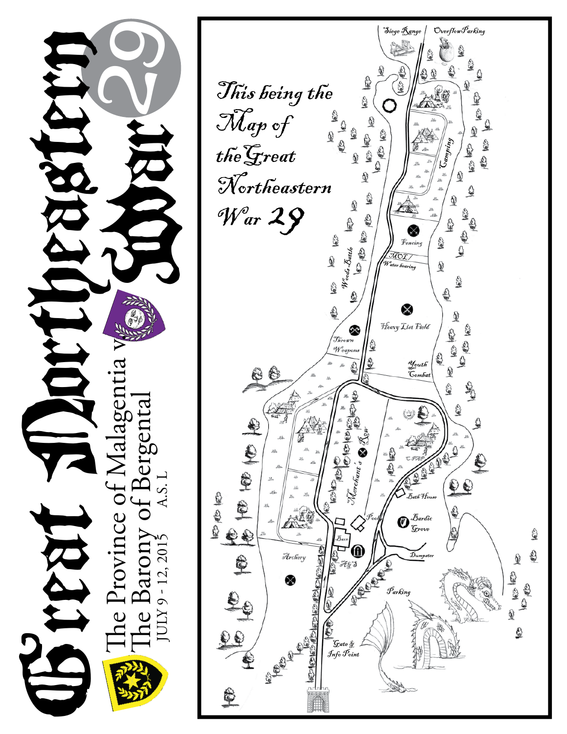

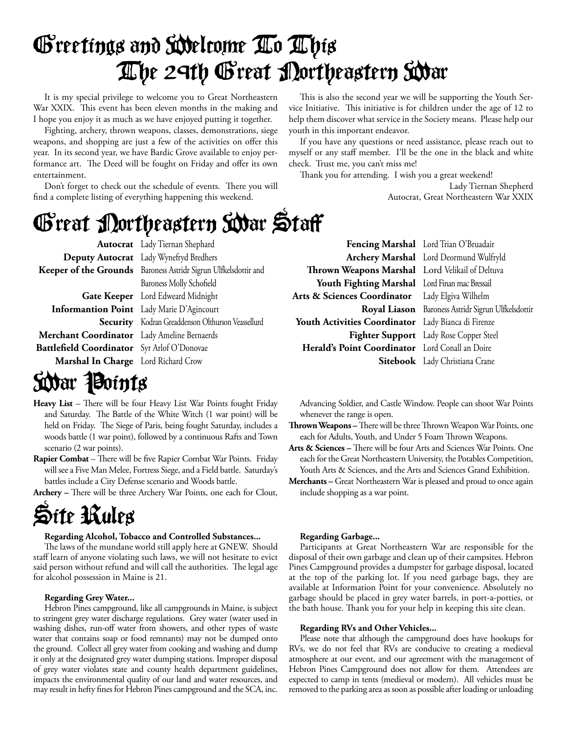## Greetings and Welcome To This The 29th Great Northeastern War

It is my special privilege to welcome you to Great Northeastern War XXIX. This event has been eleven months in the making and I hope you enjoy it as much as we have enjoyed putting it together.

Fighting, archery, thrown weapons, classes, demonstrations, siege weapons, and shopping are just a few of the activities on offer this year. In its second year, we have Bardic Grove available to enjoy performance art. The Deed will be fought on Friday and offer its own entertainment.

Don't forget to check out the schedule of events. There you will find a complete listing of everything happening this weekend.

This is also the second year we will be supporting the Youth Service Initiative. This initiative is for children under the age of 12 to help them discover what service in the Society means. Please help our youth in this important endeavor.

If you have any questions or need assistance, please reach out to myself or any staff member. I'll be the one in the black and white check. Trust me, you can't miss me!

Thank you for attending. I wish you a great weekend!

Lady Tiernan Shepherd Autocrat, Great Northeastern War XXIX

## Great Northeastern War Staff

Baroness Molly Schofield

 **Autocrat** Lady Tiernan Shephard  **Deputy Autocrat** Lady Wynefryd Bredhers  **Keeper of the Grounds** Baroness Astridr Sigrun Ulfkelsdottir and

 **Gate Keeper** Lord Edweard Midnight  **Informantion Point** Lady Marie D'Agincourt **Security** Kodran Greaddenson Olthurson Veassellurd  **Merchant Coordinator** Lady Ameline Bernaerds Battlefield Coordinator Syr Arlof O'Donovae  **Marshal In Charge** Lord Richard Crow

S**idar Points** 

- Heavy List There will be four Heavy List War Points fought Friday and Saturday. The Battle of the White Witch (1 war point) will be held on Friday. The Siege of Paris, being fought Saturday, includes a woods battle (1 war point), followed by a continuous Rafts and Town
- scenario (2 war points). **Rapier Combat** - There will be five Rapier Combat War Points. Friday will see a Five Man Melee, Fortress Siege, and a Field battle. Saturday's

battles include a City Defense scenario and Woods battle.

**Archery** – There will be three Archery War Points, one each for Clout,

## Site Rules

#### **Regarding Alcohol, Tobacco and Controlled Substances...**

The laws of the mundane world still apply here at GNEW. Should staff learn of anyone violating such laws, we will not hesitate to evict said person without refund and will call the authorities. The legal age for alcohol possession in Maine is 21.

#### **Regarding Grey Water...**

Hebron Pines campground, like all campgrounds in Maine, is subject to stringent grey water discharge regulations. Grey water (water used in washing dishes, run-off water from showers, and other types of waste water that contains soap or food remnants) may not be dumped onto the ground. Collect all grey water from cooking and washing and dump it only at the designated grey water dumping stations. Improper disposal of grey water violates state and county health department guidelines, impacts the environmental quality of our land and water resources, and may result in hefty fines for Hebron Pines campground and the SCA, inc.

 **Fencing Marshal** Lord Trian O'Bruadair Thrown Weapons Marshal Lord Velikail of Deltuva  **Youth Fighting Marshal** Lord Finan mac Bressail **Arts & Sciences Coordinator** Lady Elgiva Wilhelm  **Youth Activities Coordinator** Lady Bianca di Firenze  **Herald's Point Coordinator** Lord Conall an Doire

 **Archery Marshal** Lord Deormund Wulfryld  **Royal Liason** Baroness Astridr Sigrun Ulfkelsdottir  **Fighter Support** Lady Rose Copper Steel  **Sitebook** Lady Christiana Crane

Advancing Soldier, and Castle Window. People can shoot War Points whenever the range is open.

- **Thrown Weapons** There will be three Thrown Weapon War Points, one each for Adults, Youth, and Under 5 Foam Thrown Weapons.
- Arts & Sciences There will be four Arts and Sciences War Points. One each for the Great Northeastern University, the Potables Competition, Youth Arts & Sciences, and the Arts and Sciences Grand Exhibition.
- **Merchants** Great Northeastern War is pleased and proud to once again include shopping as a war point.

#### **Regarding Garbage...**

Participants at Great Northeastern War are responsible for the disposal of their own garbage and clean up of their campsites. Hebron Pines Campground provides a dumpster for garbage disposal, located at the top of the parking lot. If you need garbage bags, they are available at Information Point for your convenience. Absolutely no garbage should be placed in grey water barrels, in port-a-potties, or the bath house. Thank you for your help in keeping this site clean.

#### **Regarding RVs and Other Vehicles...**

Please note that although the campground does have hookups for RVs, we do not feel that RVs are conducive to creating a medieval atmosphere at our event, and our agreement with the management of Hebron Pines Campground does not allow for them. Attendees are expected to camp in tents (medieval or modern). All vehicles must be removed to the parking area as soon as possible after loading or unloading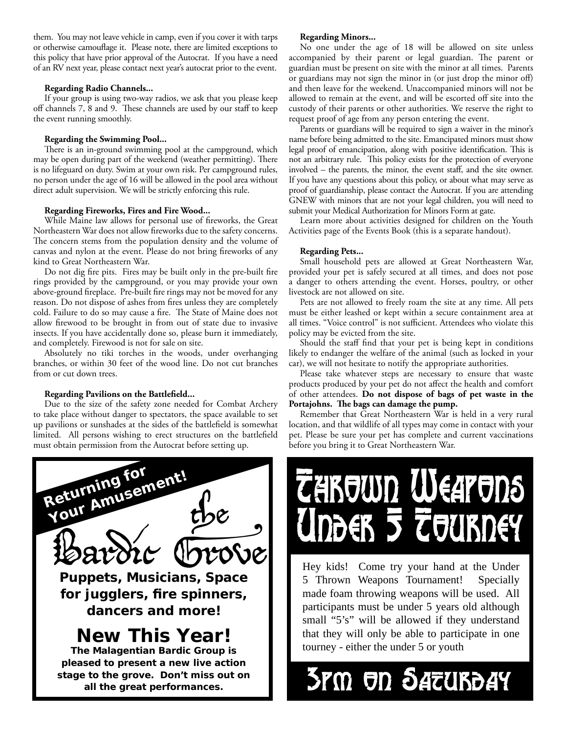them. You may not leave vehicle in camp, even if you cover it with tarps or otherwise camouflage it. Please note, there are limited exceptions to this policy that have prior approval of the Autocrat. If you have a need of an RV next year, please contact next year's autocrat prior to the event.

#### **Regarding Radio Channels...**

If your group is using two-way radios, we ask that you please keep off channels 7, 8 and 9. These channels are used by our staff to keep the event running smoothly.

#### **Regarding the Swimming Pool...**

There is an in-ground swimming pool at the campground, which may be open during part of the weekend (weather permitting). There is no lifeguard on duty. Swim at your own risk. Per campground rules, no person under the age of 16 will be allowed in the pool area without direct adult supervision. We will be strictly enforcing this rule.

#### **Regarding Fireworks, Fires and Fire Wood...**

While Maine law allows for personal use of fireworks, the Great Northeastern War does not allow fireworks due to the safety concerns. The concern stems from the population density and the volume of canvas and nylon at the event. Please do not bring fireworks of any kind to Great Northeastern War.

Do not dig fire pits. Fires may be built only in the pre-built fire rings provided by the campground, or you may provide your own above-ground fireplace. Pre-built fire rings may not be moved for any reason. Do not dispose of ashes from fires unless they are completely cold. Failure to do so may cause a fire. The State of Maine does not allow firewood to be brought in from out of state due to invasive insects. If you have accidentally done so, please burn it immediately, and completely. Firewood is not for sale on site.

Absolutely no tiki torches in the woods, under overhanging branches, or within 30 feet of the wood line. Do not cut branches from or cut down trees.

#### **Regarding Pavilions on the Battlefield...**

Due to the size of the safety zone needed for Combat Archery to take place without danger to spectators, the space available to set up pavilions or sunshades at the sides of the battlefield is somewhat limited. All persons wishing to erect structures on the battlefield must obtain permission from the Autocrat before setting up.



#### **Regarding Minors...**

No one under the age of 18 will be allowed on site unless accompanied by their parent or legal guardian. The parent or guardian must be present on site with the minor at all times. Parents or guardians may not sign the minor in (or just drop the minor off) and then leave for the weekend. Unaccompanied minors will not be allowed to remain at the event, and will be escorted off site into the custody of their parents or other authorities. We reserve the right to request proof of age from any person entering the event.

Parents or guardians will be required to sign a waiver in the minor's name before being admitted to the site. Emancipated minors must show legal proof of emancipation, along with positive identification. This is not an arbitrary rule. This policy exists for the protection of everyone involved – the parents, the minor, the event staff, and the site owner. If you have any questions about this policy, or about what may serve as proof of guardianship, please contact the Autocrat. If you are attending GNEW with minors that are not your legal children, you will need to submit your Medical Authorization for Minors Form at gate.

Learn more about activities designed for children on the Youth Activities page of the Events Book (this is a separate handout).

#### **Regarding Pets...**

Small household pets are allowed at Great Northeastern War, provided your pet is safely secured at all times, and does not pose a danger to others attending the event. Horses, poultry, or other livestock are not allowed on site.

Pets are not allowed to freely roam the site at any time. All pets must be either leashed or kept within a secure containment area at all times. "Voice control" is not sufficient. Attendees who violate this policy may be evicted from the site.

Should the staff find that your pet is being kept in conditions likely to endanger the welfare of the animal (such as locked in your car), we will not hesitate to notify the appropriate authorities.

Please take whatever steps are necessary to ensure that waste products produced by your pet do not affect the health and comfort of other attendees. **Do not dispose of bags of pet waste in the**  Portajohns. The bags can damage the pump.

Remember that Great Northeastern War is held in a very rural location, and that wildlife of all types may come in contact with your pet. Please be sure your pet has complete and current vaccinations before you bring it to Great Northeastern War.



Hey kids! Come try your hand at the Under 5 Thrown Weapons Tournament! Specially made foam throwing weapons will be used. All participants must be under 5 years old although small "5's" will be allowed if they understand that they will only be able to participate in one tourney - either the under 5 or youth

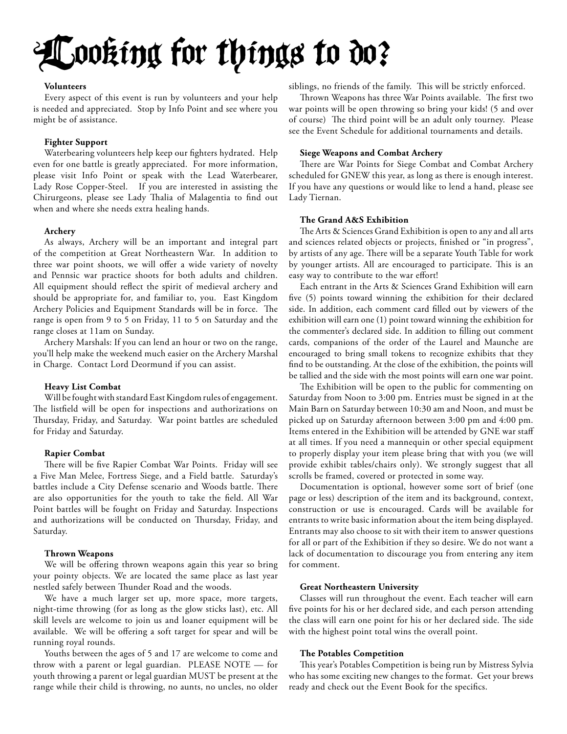# Looking for things to do?

#### **Volunteers**

Every aspect of this event is run by volunteers and your help is needed and appreciated. Stop by Info Point and see where you might be of assistance.

#### **Fighter Support**

Waterbearing volunteers help keep our fighters hydrated. Help even for one battle is greatly appreciated. For more information, please visit Info Point or speak with the Lead Waterbearer, Lady Rose Copper-Steel. If you are interested in assisting the Chirurgeons, please see Lady Thalia of Malagentia to find out when and where she needs extra healing hands.

#### **Archery**

As always, Archery will be an important and integral part of the competition at Great Northeastern War. In addition to three war point shoots, we will offer a wide variety of novelty and Pennsic war practice shoots for both adults and children. All equipment should reflect the spirit of medieval archery and should be appropriate for, and familiar to, you. East Kingdom Archery Policies and Equipment Standards will be in force. The range is open from 9 to 5 on Friday, 11 to 5 on Saturday and the range closes at 11am on Sunday.

Archery Marshals: If you can lend an hour or two on the range, you'll help make the weekend much easier on the Archery Marshal in Charge. Contact Lord Deormund if you can assist.

#### **Heavy List Combat**

Will be fought with standard East Kingdom rules of engagement. The listfield will be open for inspections and authorizations on Thursday, Friday, and Saturday. War point battles are scheduled for Friday and Saturday.

#### **Rapier Combat**

There will be five Rapier Combat War Points. Friday will see a Five Man Melee, Fortress Siege, and a Field battle. Saturday's battles include a City Defense scenario and Woods battle. There are also opportunities for the youth to take the field. All War Point battles will be fought on Friday and Saturday. Inspections and authorizations will be conducted on Thursday, Friday, and Saturday.

#### **Thrown Weapons**

We will be offering thrown weapons again this year so bring your pointy objects. We are located the same place as last year nestled safely between Thunder Road and the woods.

We have a much larger set up, more space, more targets, night-time throwing (for as long as the glow sticks last), etc. All skill levels are welcome to join us and loaner equipment will be available. We will be offering a soft target for spear and will be running royal rounds.

Youths between the ages of 5 and 17 are welcome to come and throw with a parent or legal guardian. PLEASE NOTE — for youth throwing a parent or legal guardian MUST be present at the range while their child is throwing, no aunts, no uncles, no older

siblings, no friends of the family. This will be strictly enforced.

Thrown Weapons has three War Points available. The first two war points will be open throwing so bring your kids! (5 and over of course) The third point will be an adult only tourney. Please see the Event Schedule for additional tournaments and details.

#### **Siege Weapons and Combat Archery**

There are War Points for Siege Combat and Combat Archery scheduled for GNEW this year, as long as there is enough interest. If you have any questions or would like to lend a hand, please see Lady Tiernan.

#### **The Grand A&S Exhibition**

The Arts & Sciences Grand Exhibition is open to any and all arts and sciences related objects or projects, finished or "in progress", by artists of any age. There will be a separate Youth Table for work by younger artists. All are encouraged to participate. This is an easy way to contribute to the war effort!

Each entrant in the Arts & Sciences Grand Exhibition will earn five (5) points toward winning the exhibition for their declared side. In addition, each comment card filled out by viewers of the exhibition will earn one (1) point toward winning the exhibition for the commenter's declared side. In addition to filling out comment cards, companions of the order of the Laurel and Maunche are encouraged to bring small tokens to recognize exhibits that they find to be outstanding. At the close of the exhibition, the points will be tallied and the side with the most points will earn one war point.

The Exhibition will be open to the public for commenting on Saturday from Noon to 3:00 pm. Entries must be signed in at the Main Barn on Saturday between 10:30 am and Noon, and must be picked up on Saturday afternoon between 3:00 pm and 4:00 pm. Items entered in the Exhibition will be attended by GNE war staff at all times. If you need a mannequin or other special equipment to properly display your item please bring that with you (we will provide exhibit tables/chairs only). We strongly suggest that all scrolls be framed, covered or protected in some way.

Documentation is optional, however some sort of brief (one page or less) description of the item and its background, context, construction or use is encouraged. Cards will be available for entrants to write basic information about the item being displayed. Entrants may also choose to sit with their item to answer questions for all or part of the Exhibition if they so desire. We do not want a lack of documentation to discourage you from entering any item for comment.

#### **Great Northeastern University**

Classes will run throughout the event. Each teacher will earn five points for his or her declared side, and each person attending the class will earn one point for his or her declared side. The side with the highest point total wins the overall point.

#### **The Potables Competition**

This year's Potables Competition is being run by Mistress Sylvia who has some exciting new changes to the format. Get your brews ready and check out the Event Book for the specifics.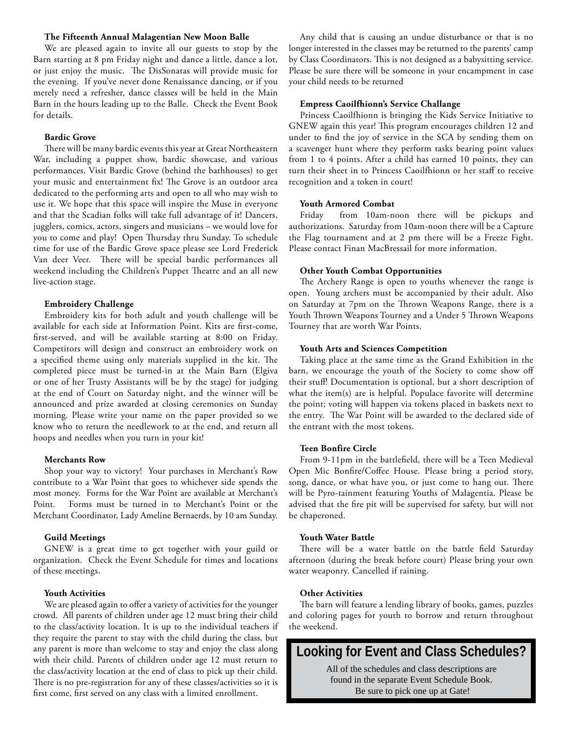#### **The Fifteenth Annual Malagentian New Moon Balle**

We are pleased again to invite all our guests to stop by the Barn starting at 8 pm Friday night and dance a little, dance a lot, or just enjoy the music. The DisSonatas will provide music for the evening. If you've never done Renaissance dancing, or if you merely need a refresher, dance classes will be held in the Main Barn in the hours leading up to the Balle. Check the Event Book for details.

#### **Bardic Grove**

There will be many bardic events this year at Great Northeastern War, including a puppet show, bardic showcase, and various performances. Visit Bardic Grove (behind the bathhouses) to get your music and entertainment fix! The Grove is an outdoor area dedicated to the performing arts and open to all who may wish to use it. We hope that this space will inspire the Muse in everyone and that the Scadian folks will take full advantage of it! Dancers, jugglers, comics, actors, singers and musicians – we would love for you to come and play! Open Thursday thru Sunday. To schedule time for use of the Bardic Grove space please see Lord Frederick Van deer Veer. There will be special bardic performances all weekend including the Children's Puppet Theatre and an all new live-action stage.

#### **Embroidery Challenge**

Embroidery kits for both adult and youth challenge will be available for each side at Information Point. Kits are first-come, first-served, and will be available starting at 8:00 on Friday. Competitors will design and construct an embroidery work on a specified theme using only materials supplied in the kit. The completed piece must be turned-in at the Main Barn (Elgiva or one of her Trusty Assistants will be by the stage) for judging at the end of Court on Saturday night, and the winner will be announced and prize awarded at closing ceremonies on Sunday morning. Please write your name on the paper provided so we know who to return the needlework to at the end, and return all hoops and needles when you turn in your kit!

#### **Merchants Row**

Shop your way to victory! Your purchases in Merchant's Row contribute to a War Point that goes to whichever side spends the most money. Forms for the War Point are available at Merchant's Point. Forms must be turned in to Merchant's Point or the Merchant Coordinator, Lady Ameline Bernaerds, by 10 am Sunday.

#### **Guild Meetings**

GNEW is a great time to get together with your guild or organization. Check the Event Schedule for times and locations of these meetings.

#### **Youth Activities**

We are pleased again to offer a variety of activities for the younger crowd. All parents of children under age 12 must bring their child to the class/activity location. It is up to the individual teachers if they require the parent to stay with the child during the class, but any parent is more than welcome to stay and enjoy the class along with their child. Parents of children under age 12 must return to the class/activity location at the end of class to pick up their child. There is no pre-registration for any of these classes/activities so it is first come, first served on any class with a limited enrollment.

Any child that is causing an undue disturbance or that is no longer interested in the classes may be returned to the parents' camp by Class Coordinators. This is not designed as a babysitting service. Please be sure there will be someone in your encampment in case your child needs to be returned

#### **Empress Caoilfhionn's Service Challange**

Princess Caoilfhionn is bringing the Kids Service Initiative to GNEW again this year! This program encourages children 12 and under to find the joy of service in the SCA by sending them on a scavenger hunt where they perform tasks bearing point values from 1 to 4 points. After a child has earned 10 points, they can turn their sheet in to Princess Caoilfhionn or her staff to receive recognition and a token in court!

#### **Youth Armored Combat**

Friday from 10am-noon there will be pickups and authorizations. Saturday from 10am-noon there will be a Capture the Flag tournament and at 2 pm there will be a Freeze Fight. Please contact Finan MacBressail for more information.

#### **Other Youth Combat Opportunities**

The Archery Range is open to youths whenever the range is open. Young archers must be accompanied by their adult. Also on Saturday at 7pm on the Thrown Weapons Range, there is a Youth Thrown Weapons Tourney and a Under 5 Thrown Weapons Tourney that are worth War Points.

#### **Youth Arts and Sciences Competition**

Taking place at the same time as the Grand Exhibition in the barn, we encourage the youth of the Society to come show off their stuff! Documentation is optional, but a short description of what the item(s) are is helpful. Populace favorite will determine the point; voting will happen via tokens placed in baskets next to the entry. The War Point will be awarded to the declared side of the entrant with the most tokens.

#### **Teen Bonfire Circle**

From 9-11pm in the battlefield, there will be a Teen Medieval Open Mic Bonfire/Coffee House. Please bring a period story, song, dance, or what have you, or just come to hang out. There will be Pyro-tainment featuring Youths of Malagentia. Please be advised that the fire pit will be supervised for safety, but will not be chaperoned.

#### **Youth Water Battle**

There will be a water battle on the battle field Saturday afternoon (during the break before court) Please bring your own water weaponry. Cancelled if raining.

#### **Other Activities**

The barn will feature a lending library of books, games, puzzles and coloring pages for youth to borrow and return throughout the weekend.

### **Looking for Event and Class Schedules?**

All of the schedules and class descriptions are found in the separate Event Schedule Book. Be sure to pick one up at Gate!